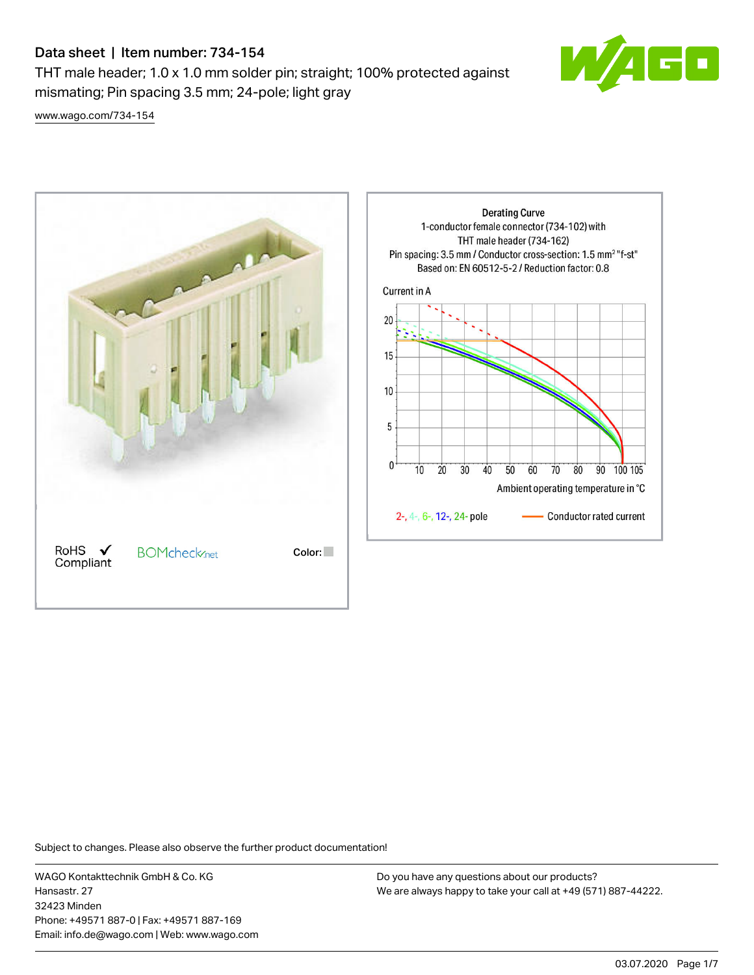THT male header; 1.0 x 1.0 mm solder pin; straight; 100% protected against mismating; Pin spacing 3.5 mm; 24-pole; light gray



[www.wago.com/734-154](http://www.wago.com/734-154)



Subject to changes. Please also observe the further product documentation!

WAGO Kontakttechnik GmbH & Co. KG Hansastr. 27 32423 Minden Phone: +49571 887-0 | Fax: +49571 887-169 Email: info.de@wago.com | Web: www.wago.com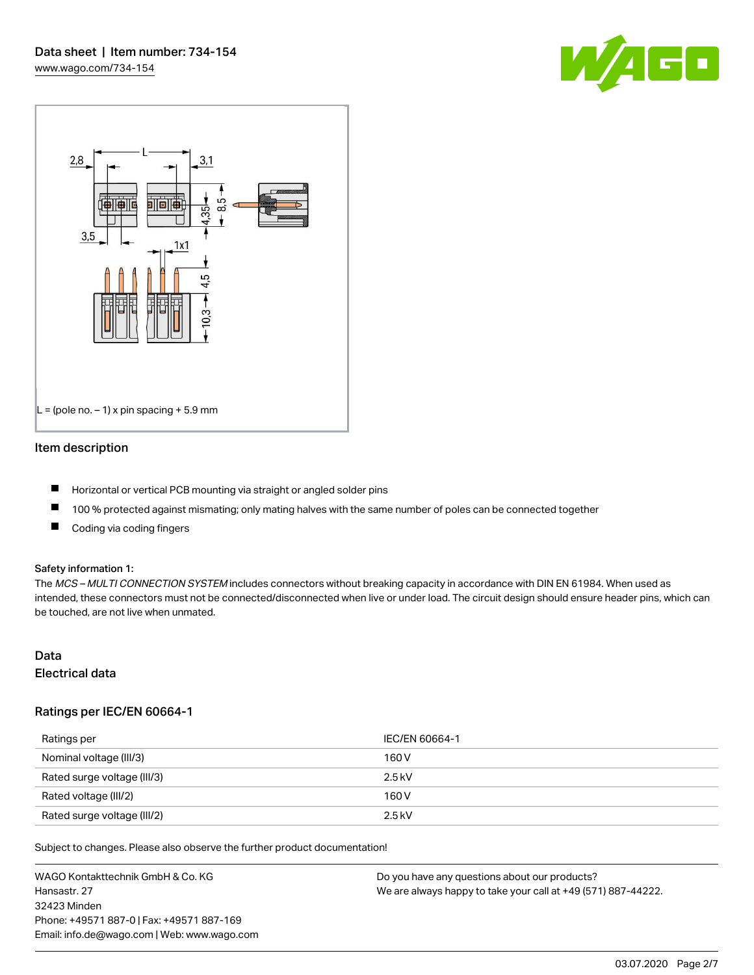



## Item description

- **H** Horizontal or vertical PCB mounting via straight or angled solder pins
- $\blacksquare$ 100 % protected against mismating; only mating halves with the same number of poles can be connected together
- $\blacksquare$ Coding via coding fingers

## Safety information 1:

The MCS - MULTI CONNECTION SYSTEM includes connectors without breaking capacity in accordance with DIN EN 61984. When used as intended, these connectors must not be connected/disconnected when live or under load. The circuit design should ensure header pins, which can be touched, are not live when unmated.

# Data

Electrical data

## Ratings per IEC/EN 60664-1

| Ratings per                 | IEC/EN 60664-1 |
|-----------------------------|----------------|
| Nominal voltage (III/3)     | 160 V          |
| Rated surge voltage (III/3) | 2.5 kV         |
| Rated voltage (III/2)       | 160 V          |
| Rated surge voltage (III/2) | $2.5$ kV       |

Subject to changes. Please also observe the further product documentation!

WAGO Kontakttechnik GmbH & Co. KG Hansastr. 27 32423 Minden Phone: +49571 887-0 | Fax: +49571 887-169 Email: info.de@wago.com | Web: www.wago.com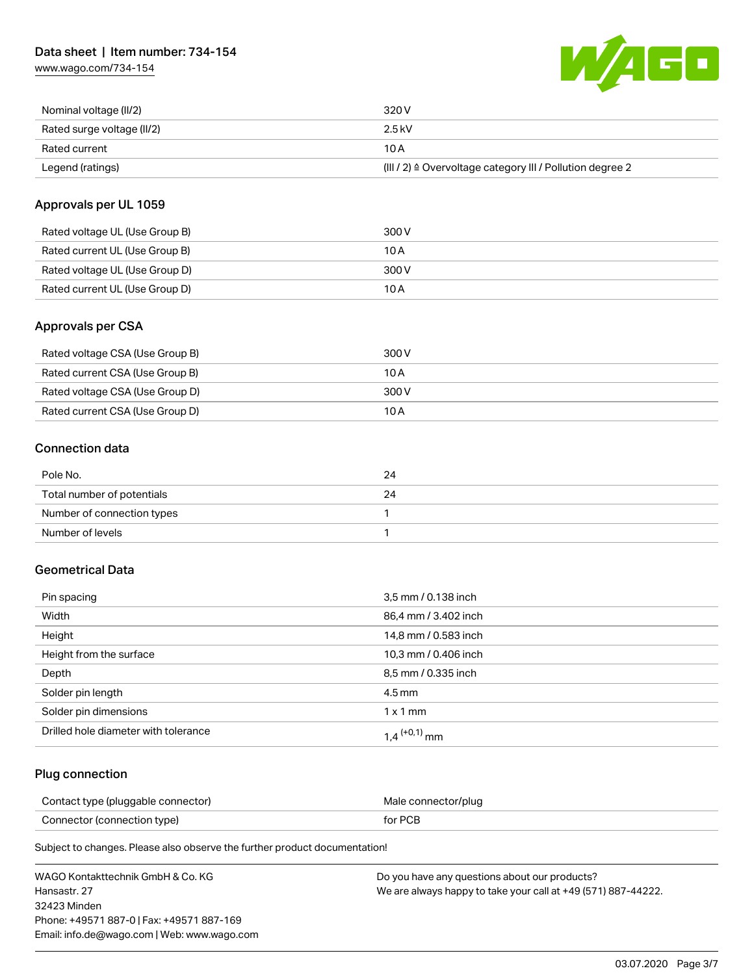[www.wago.com/734-154](http://www.wago.com/734-154)



| Nominal voltage (II/2)     | 320 V                                                                 |
|----------------------------|-----------------------------------------------------------------------|
| Rated surge voltage (II/2) | $2.5$ kV                                                              |
| Rated current              | 10 A                                                                  |
| Legend (ratings)           | $(III / 2)$ $\triangle$ Overvoltage category III / Pollution degree 2 |

## Approvals per UL 1059

| Rated voltage UL (Use Group B) | 300 V |
|--------------------------------|-------|
| Rated current UL (Use Group B) | 10 A  |
| Rated voltage UL (Use Group D) | 300 V |
| Rated current UL (Use Group D) | 10 A  |

## Approvals per CSA

| Rated voltage CSA (Use Group B) | 300 V |
|---------------------------------|-------|
| Rated current CSA (Use Group B) | 10 A  |
| Rated voltage CSA (Use Group D) | 300 V |
| Rated current CSA (Use Group D) | 10 A  |

## Connection data

| Pole No.                   | 24 |
|----------------------------|----|
| Total number of potentials | 24 |
| Number of connection types |    |
| Number of levels           |    |

## Geometrical Data

| Pin spacing                          | 3,5 mm / 0.138 inch        |
|--------------------------------------|----------------------------|
| Width                                | 86,4 mm / 3.402 inch       |
| Height                               | 14,8 mm / 0.583 inch       |
| Height from the surface              | 10,3 mm / 0.406 inch       |
| Depth                                | 8,5 mm / 0.335 inch        |
| Solder pin length                    | 4.5 mm                     |
| Solder pin dimensions                | $1 \times 1$ mm            |
| Drilled hole diameter with tolerance | $1.4$ <sup>(+0,1)</sup> mm |

## Plug connection

| Contact type (pluggable connector) | Male connector/plug |
|------------------------------------|---------------------|
| Connector (connection type)        | for PCB             |

Subject to changes. Please also observe the further product documentation!

| WAGO Kontakttechnik GmbH & Co. KG           | Do you have any questions about our products?                 |
|---------------------------------------------|---------------------------------------------------------------|
| Hansastr, 27                                | We are always happy to take your call at +49 (571) 887-44222. |
| 32423 Minden                                |                                                               |
| Phone: +49571 887-01 Fax: +49571 887-169    |                                                               |
| Email: info.de@wago.com   Web: www.wago.com |                                                               |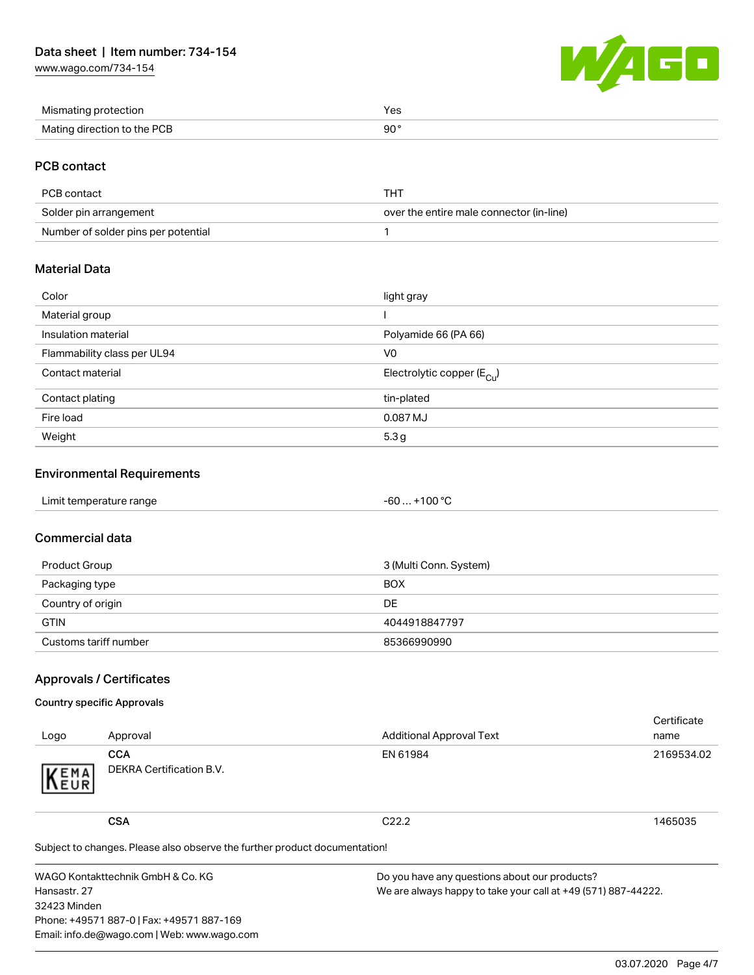[www.wago.com/734-154](http://www.wago.com/734-154)



| Mismating protection        | Yes. |
|-----------------------------|------|
| Mating direction to the PCB | 90°  |

### PCB contact

| PCB contact                         | THT                                      |
|-------------------------------------|------------------------------------------|
| Solder pin arrangement              | over the entire male connector (in-line) |
| Number of solder pins per potential |                                          |

## Material Data

| Color                       | light gray                            |
|-----------------------------|---------------------------------------|
| Material group              |                                       |
| Insulation material         | Polyamide 66 (PA 66)                  |
| Flammability class per UL94 | V0                                    |
| Contact material            | Electrolytic copper $(E_{\text{Cl}})$ |
| Contact plating             | tin-plated                            |
| Fire load                   | 0.087 MJ                              |
| Weight                      | 5.3 <sub>g</sub>                      |

## Environmental Requirements

| .<br>Limit temperature range<br>. . | 100 °C<br>-60<br>. . |
|-------------------------------------|----------------------|
|-------------------------------------|----------------------|

## Commercial data

| Product Group         | 3 (Multi Conn. System) |
|-----------------------|------------------------|
| Packaging type        | <b>BOX</b>             |
| Country of origin     | DE                     |
| <b>GTIN</b>           | 4044918847797          |
| Customs tariff number | 85366990990            |

## Approvals / Certificates

### Country specific Approvals

| Logo | Approval                               | <b>Additional Approval Text</b> | Certificate<br>name |
|------|----------------------------------------|---------------------------------|---------------------|
| KEMA | <b>CCA</b><br>DEKRA Certification B.V. | EN 61984                        | 2169534.02          |
|      | CSA                                    | C <sub>22.2</sub>               | 1465035             |

Subject to changes. Please also observe the further product documentation!

WAGO Kontakttechnik GmbH & Co. KG Hansastr. 27 32423 Minden Phone: +49571 887-0 | Fax: +49571 887-169 Email: info.de@wago.com | Web: www.wago.com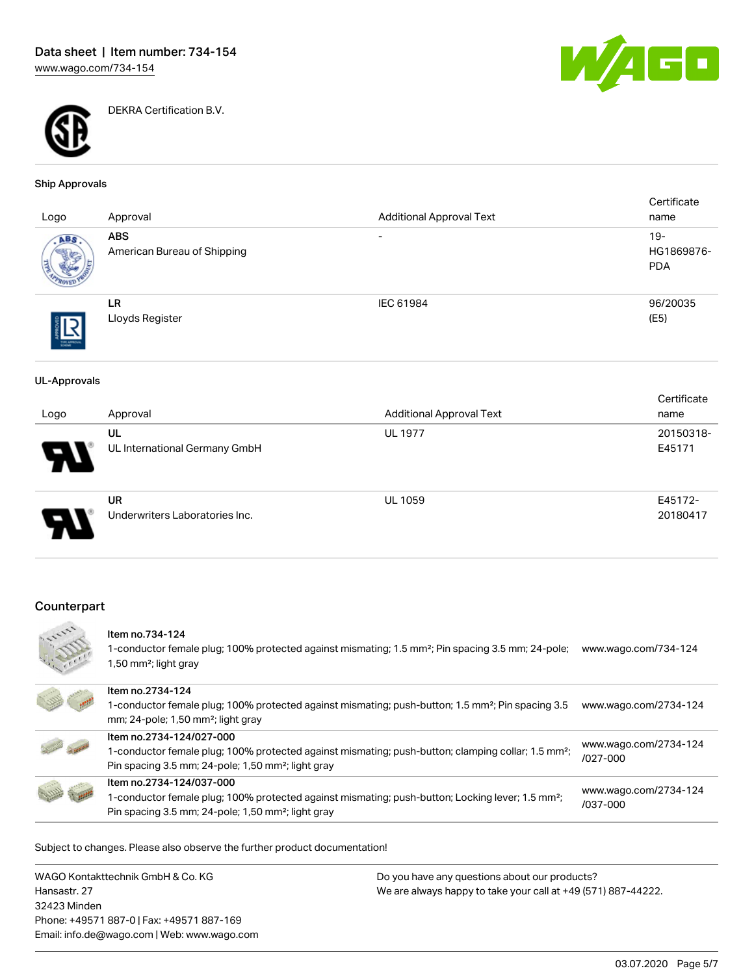

DEKRA Certification B.V.



#### Ship Approvals

| Logo       | Approval                                  | <b>Additional Approval Text</b> | Certificate<br>name                |
|------------|-------------------------------------------|---------------------------------|------------------------------------|
| ABS,       | <b>ABS</b><br>American Bureau of Shipping | $\overline{\phantom{0}}$        | $19 -$<br>HG1869876-<br><b>PDA</b> |
| THE APROVA | LR<br>Lloyds Register                     | IEC 61984                       | 96/20035<br>(E5)                   |

#### UL-Approvals

| Logo | Approval                                    | <b>Additional Approval Text</b> | Certificate<br>name |
|------|---------------------------------------------|---------------------------------|---------------------|
| 9.   | UL<br>UL International Germany GmbH         | <b>UL 1977</b>                  | 20150318-<br>E45171 |
| o    | <b>UR</b><br>Underwriters Laboratories Inc. | <b>UL 1059</b>                  | E45172-<br>20180417 |

## Counterpart



#### Item no.734-124

1-conductor female plug; 100% protected against mismating; 1.5 mm²; Pin spacing 3.5 mm; 24-pole; [www.wago.com/734-124](http://www.wago.com/734-124) 1,50 mm²; light gray



Subject to changes. Please also observe the further product documentation!

WAGO Kontakttechnik GmbH & Co. KG Hansastr. 27 32423 Minden Phone: +49571 887-0 | Fax: +49571 887-169 Email: info.de@wago.com | Web: www.wago.com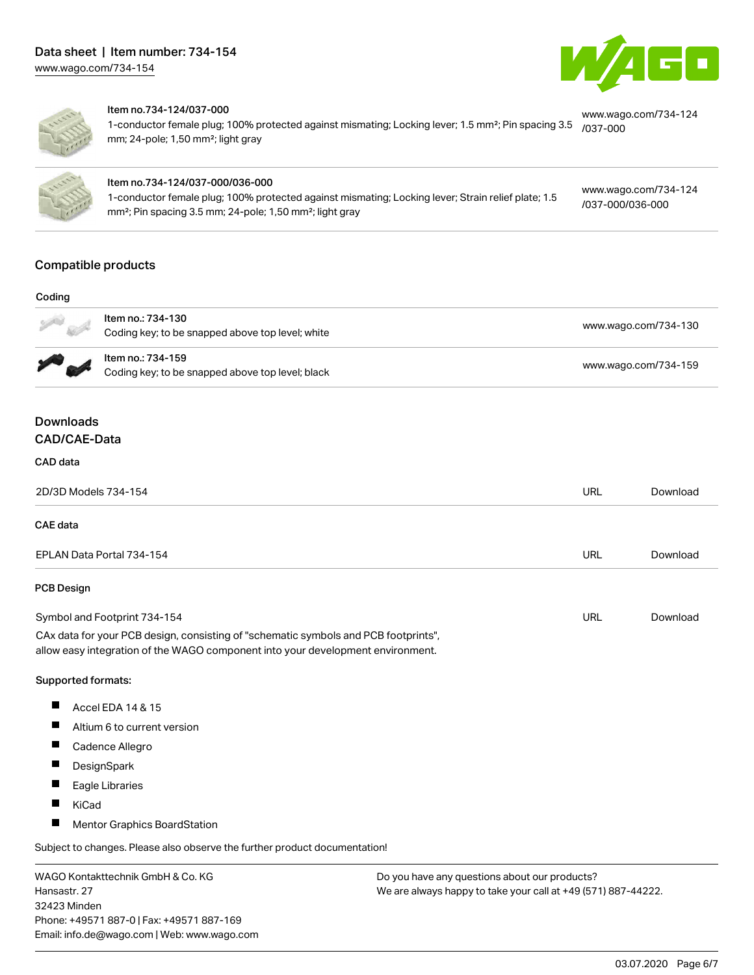



#### Item no.734-124/037-000

1-conductor female plug; 100% protected against mismating; Locking lever; 1.5 mm²; Pin spacing 3.5 [/037-000](http://www.wago.com/734-124/037-000) mm; 24-pole; 1,50 mm²; light gray [www.wago.com/734-124](http://www.wago.com/734-124/037-000)



#### Item no.734-124/037-000/036-000

1-conductor female plug; 100% protected against mismating; Locking lever; Strain relief plate; 1.5 mm²; Pin spacing 3.5 mm; 24-pole; 1,50 mm²; light gray

### [www.wago.com/734-124](http://www.wago.com/734-124/037-000/036-000) [/037-000/036-000](http://www.wago.com/734-124/037-000/036-000)

## Compatible products

#### Coding



|       | Item no.: 734-130<br>Coding key; to be snapped above top level; white | www.wago.com/734-130 |
|-------|-----------------------------------------------------------------------|----------------------|
|       | ltem no.: 734-159<br>Coding key; to be snapped above top level; black | www.wago.com/734-159 |
| loads |                                                                       |                      |

### Downl CAD/CAE-Data

#### CAD data

| 2D/3D Models 734-154                                                                                                                                                   | URL | Download |
|------------------------------------------------------------------------------------------------------------------------------------------------------------------------|-----|----------|
| CAE data                                                                                                                                                               |     |          |
| EPLAN Data Portal 734-154                                                                                                                                              | URL | Download |
| PCB Design                                                                                                                                                             |     |          |
| Symbol and Footprint 734-154                                                                                                                                           | URL | Download |
| CAx data for your PCB design, consisting of "schematic symbols and PCB footprints",<br>allow easy integration of the WAGO component into your development environment. |     |          |

#### Supported formats:

- $\blacksquare$ Accel EDA 14 & 15
- $\blacksquare$ Altium 6 to current version
- П Cadence Allegro
- $\blacksquare$ **DesignSpark**
- $\blacksquare$ Eagle Libraries
- $\blacksquare$ KiCad
- $\blacksquare$ Mentor Graphics BoardStation

Subject to changes. Please also observe the further product documentation!

WAGO Kontakttechnik GmbH & Co. KG Hansastr. 27 32423 Minden Phone: +49571 887-0 | Fax: +49571 887-169 Email: info.de@wago.com | Web: www.wago.com